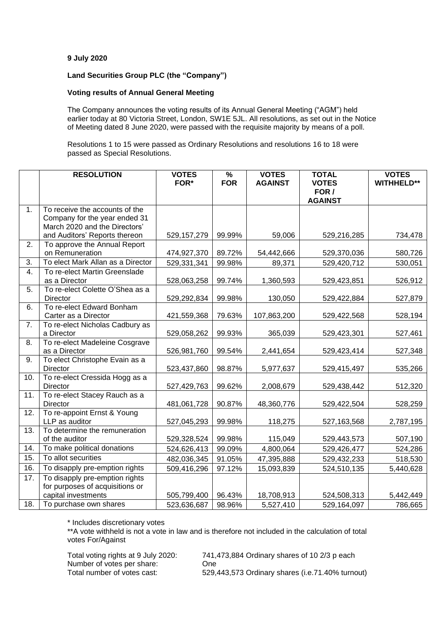## **9 July 2020**

# **Land Securities Group PLC (the "Company")**

## **Voting results of Annual General Meeting**

The Company announces the voting results of its Annual General Meeting ("AGM") held earlier today at 80 Victoria Street, London, SW1E 5JL. All resolutions, as set out in the Notice of Meeting dated 8 June 2020, were passed with the requisite majority by means of a poll.

Resolutions 1 to 15 were passed as Ordinary Resolutions and resolutions 16 to 18 were passed as Special Resolutions.

|     | <b>RESOLUTION</b>                                | <b>VOTES</b>  | %          | <b>VOTES</b>   | <b>TOTAL</b>            | <b>VOTES</b>      |
|-----|--------------------------------------------------|---------------|------------|----------------|-------------------------|-------------------|
|     |                                                  | FOR*          | <b>FOR</b> | <b>AGAINST</b> | <b>VOTES</b>            | <b>WITHHELD**</b> |
|     |                                                  |               |            |                | FOR /<br><b>AGAINST</b> |                   |
| 1.  | To receive the accounts of the                   |               |            |                |                         |                   |
|     | Company for the year ended 31                    |               |            |                |                         |                   |
|     | March 2020 and the Directors'                    |               |            |                |                         |                   |
|     | and Auditors' Reports thereon                    | 529, 157, 279 | 99.99%     | 59,006         | 529,216,285             | 734,478           |
| 2.  | To approve the Annual Report                     |               |            |                |                         |                   |
|     | on Remuneration                                  | 474,927,370   | 89.72%     | 54,442,666     | 529,370,036             | 580,726           |
| 3.  | To elect Mark Allan as a Director                | 529,331,341   | 99.98%     | 89,371         | 529,420,712             | 530,051           |
| 4.  | To re-elect Martin Greenslade                    |               |            |                |                         |                   |
| 5.  | as a Director<br>To re-elect Colette O'Shea as a | 528,063,258   | 99.74%     | 1,360,593      | 529,423,851             | 526,912           |
|     | <b>Director</b>                                  | 529,292,834   | 99.98%     | 130,050        | 529,422,884             | 527,879           |
| 6.  | To re-elect Edward Bonham                        |               |            |                |                         |                   |
|     | Carter as a Director                             | 421,559,368   | 79.63%     | 107,863,200    | 529,422,568             | 528,194           |
| 7.  | To re-elect Nicholas Cadbury as                  |               |            |                |                         |                   |
|     | a Director                                       | 529,058,262   | 99.93%     | 365,039        | 529,423,301             | 527,461           |
| 8.  | To re-elect Madeleine Cosgrave                   |               |            |                |                         |                   |
|     | as a Director                                    | 526,981,760   | 99.54%     | 2,441,654      | 529,423,414             | 527,348           |
| 9.  | To elect Christophe Evain as a<br>Director       | 523,437,860   | 98.87%     | 5,977,637      | 529,415,497             | 535,266           |
| 10. | To re-elect Cressida Hogg as a                   |               |            |                |                         |                   |
|     | <b>Director</b>                                  | 527,429,763   | 99.62%     | 2,008,679      | 529,438,442             | 512,320           |
| 11. | To re-elect Stacey Rauch as a                    |               |            |                |                         |                   |
|     | <b>Director</b>                                  | 481,061,728   | 90.87%     | 48,360,776     | 529,422,504             | 528,259           |
| 12. | To re-appoint Ernst & Young                      |               |            |                |                         |                   |
|     | LLP as auditor                                   | 527,045,293   | 99.98%     | 118,275        | 527, 163, 568           | 2,787,195         |
| 13. | To determine the remuneration                    |               |            |                |                         |                   |
|     | of the auditor                                   | 529,328,524   | 99.98%     | 115,049        | 529,443,573             | 507,190           |
| 14. | To make political donations                      | 524,626,413   | 99.09%     | 4,800,064      | 529,426,477             | 524,286           |
| 15. | To allot securities                              | 482,036,345   | 91.05%     | 47,395,888     | 529,432,233             | 518,530           |
| 16. | To disapply pre-emption rights                   | 509,416,296   | 97.12%     | 15,093,839     | 524,510,135             | 5,440,628         |
| 17. | To disapply pre-emption rights                   |               |            |                |                         |                   |
|     | for purposes of acquisitions or                  |               |            |                |                         |                   |
|     | capital investments                              | 505,799,400   | 96.43%     | 18,708,913     | 524,508,313             | 5,442,449         |
| 18. | To purchase own shares                           | 523,636,687   | 98.96%     | 5,527,410      | 529,164,097             | 786,665           |

\* Includes discretionary votes

\*\*A vote withheld is not a vote in law and is therefore not included in the calculation of total votes For/Against

Number of votes per share: One

Total voting rights at 9 July 2020: 741,473,884 Ordinary shares of 10 2/3 p each Total number of votes cast: 529,443,573 Ordinary shares (i.e.71.40% turnout)